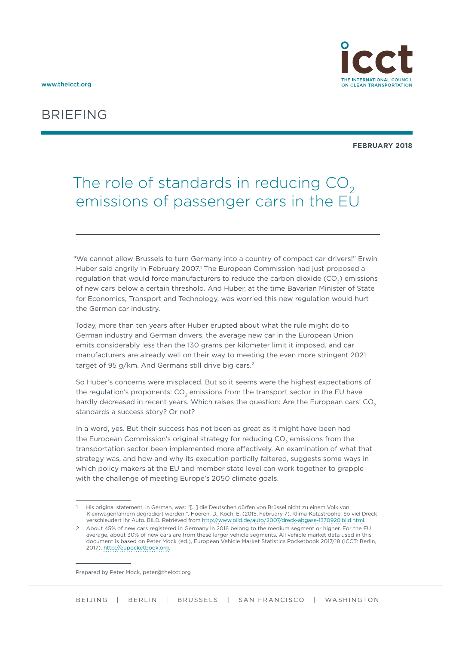

## BRIEFING

#### **FEBRUARY 2018**

# The role of standards in reducing CO<sub>2</sub> emissions of passenger cars in the EU

"We cannot allow Brussels to turn Germany into a country of compact car drivers!" Erwin Huber said angrily in February 2007.<sup>1</sup> The European Commission had just proposed a regulation that would force manufacturers to reduce the carbon dioxide (CO<sub>2</sub>) emissions of new cars below a certain threshold. And Huber, at the time Bavarian Minister of State for Economics, Transport and Technology, was worried this new regulation would hurt the German car industry.

Today, more than ten years after Huber erupted about what the rule might do to German industry and German drivers, the average new car in the European Union emits considerably less than the 130 grams per kilometer limit it imposed, and car manufacturers are already well on their way to meeting the even more stringent 2021 target of 95 g/km. And Germans still drive big cars.<sup>2</sup>

So Huber's concerns were misplaced. But so it seems were the highest expectations of the regulation's proponents: CO<sub>2</sub> emissions from the transport sector in the EU have hardly decreased in recent years. Which raises the question: Are the European cars'  $CO<sub>2</sub>$ standards a success story? Or not?

In a word, yes. But their success has not been as great as it might have been had the European Commission's original strategy for reducing CO<sub>2</sub> emissions from the transportation sector been implemented more effectively. An examination of what that strategy was, and how and why its execution partially faltered, suggests some ways in which policy makers at the EU and member state level can work together to grapple with the challenge of meeting Europe's 2050 climate goals.

Prepared by Peter Mock, [peter@theicct.org](mailto:peter%40theicct.org?subject=)

<sup>1</sup> His original statement, in German, was: "[...] die Deutschen dürfen von Brüssel nicht zu einem Volk von Kleinwagenfahrern degradiert werden!". Hoeren, D., Koch, E. (2015, February 7). Klima-Katastrophe: So viel Dreck verschleudert Ihr Auto. BILD. Retrieved from [http://www.bild.de/auto/2007/dreck-abgase-1370920.bild.html.](http://www.bild.de/auto/2007/dreck-abgase-1370920.bild.html)

<sup>2</sup> About 45% of new cars registered in Germany in 2016 belong to the medium segment or higher. For the EU average, about 30% of new cars are from these larger vehicle segments. All vehicle market data used in this document is based on Peter Mock (ed.), European Vehicle Market Statistics Pocketbook 2017/18 (ICCT: Berlin, 2017). [http://eupocketbook.org.](http://eupocketbook.org)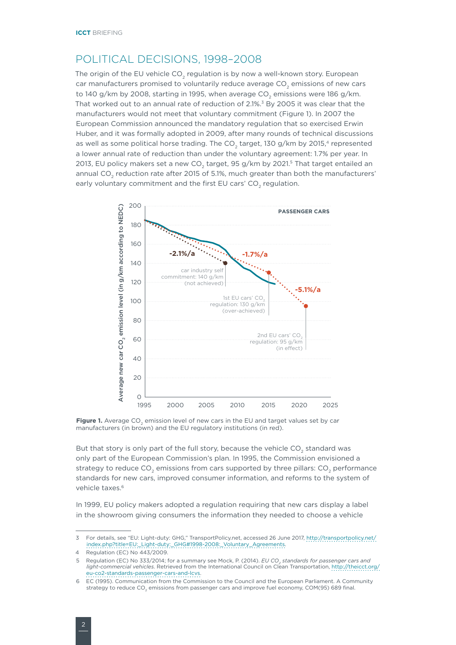### POLITICAL DECISIONS, 1998–2008

The origin of the EU vehicle CO<sub>2</sub> regulation is by now a well-known story. European car manufacturers promised to voluntarily reduce average CO<sub>2</sub> emissions of new cars to 140 g/km by 2008, starting in 1995, when average  $CO<sub>2</sub>$  emissions were 186 g/km. That worked out to an annual rate of reduction of 2.1%.<sup>3</sup> By 2005 it was clear that the manufacturers would not meet that voluntary commitment (Figure 1). In 2007 the European Commission announced the mandatory regulation that so exercised Erwin Huber, and it was formally adopted in 2009, after many rounds of technical discussions as well as some political horse trading. The CO<sub>2</sub> target, 130 g/km by 2015,<sup>4</sup> represented a lower annual rate of reduction than under the voluntary agreement: 1.7% per year. In 2013, EU policy makers set a new CO<sub>2</sub> target, 95 g/km by 2021.<sup>5</sup> That target entailed an annual CO<sub>2</sub> reduction rate after 2015 of 5.1%, much greater than both the manufacturers' early voluntary commitment and the first EU cars' CO<sub>2</sub> regulation.



Figure 1. Average CO<sub>2</sub> emission level of new cars in the EU and target values set by car manufacturers (in brown) and the EU regulatory institutions (in red).

But that story is only part of the full story, because the vehicle CO<sub>2</sub> standard was only part of the European Commission's plan. In 1995, the Commission envisioned a strategy to reduce CO<sub>2</sub> emissions from cars supported by three pillars: CO<sub>2</sub> performance standards for new cars, improved consumer information, and reforms to the system of vehicle taxes.<sup>6</sup>

In 1999, EU policy makers adopted a regulation requiring that new cars display a label in the showroom giving consumers the information they needed to choose a vehicle

<sup>3</sup> For details, see "EU: Light-duty: GHG," TransportPolicy.net, accessed 26 June 2017, [http://transportpolicy.net/](http://transportpolicy.net/index.php?title=EU:_Light-duty:_GHG#1998-2008:_Voluntary_Agreements) [index.php?title=EU:\\_Light-duty:\\_GHG#1998-2008:\\_Voluntary\\_Agreements.](http://transportpolicy.net/index.php?title=EU:_Light-duty:_GHG#1998-2008:_Voluntary_Agreements)

Regulation (EC) No 443/2009.

<sup>5</sup> Regulation (EC) No 333/2014; for a summary see Mock, P. (2014). *EU CO<sub>2</sub> standards for passenger cars and light-commercial vehicles*. Retrieved from the International Council on Clean Transportation, [http://theicct.org/](http://theicct.org/eu-co2-standards-passenger-cars-and-lcvs) [eu-co2-standards-passenger-cars-and-lcvs](http://theicct.org/eu-co2-standards-passenger-cars-and-lcvs).

<sup>6</sup> EC (1995). Communication from the Commission to the Council and the European Parliament. A Community strategy to reduce CO<sub>2</sub> emissions from passenger cars and improve fuel economy, COM(95) 689 final.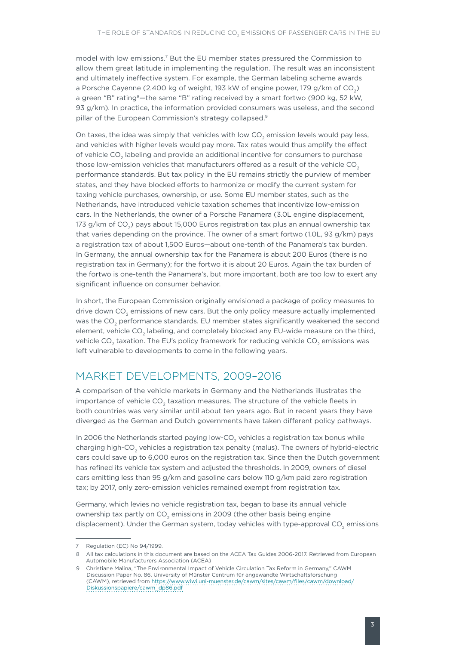model with low emissions.7 But the EU member states pressured the Commission to allow them great latitude in implementing the regulation. The result was an inconsistent and ultimately ineffective system. For example, the German labeling scheme awards a Porsche Cayenne (2,400 kg of weight, 193 kW of engine power, 179 g/km of CO<sub>2</sub>) a green "B" rating<sup>8</sup>-the same "B" rating received by a smart fortwo (900 kg, 52 kW, 93 g/km). In practice, the information provided consumers was useless, and the second pillar of the European Commission's strategy collapsed.<sup>9</sup>

On taxes, the idea was simply that vehicles with low CO<sub>2</sub> emission levels would pay less, and vehicles with higher levels would pay more. Tax rates would thus amplify the effect of vehicle CO<sub>2</sub> labeling and provide an additional incentive for consumers to purchase those low-emission vehicles that manufacturers offered as a result of the vehicle CO<sub>2</sub> performance standards. But tax policy in the EU remains strictly the purview of member states, and they have blocked efforts to harmonize or modify the current system for taxing vehicle purchases, ownership, or use. Some EU member states, such as the Netherlands, have introduced vehicle taxation schemes that incentivize low-emission cars. In the Netherlands, the owner of a Porsche Panamera (3.0L engine displacement, 173 g/km of CO<sub>2</sub>) pays about 15,000 Euros registration tax plus an annual ownership tax that varies depending on the province. The owner of a smart fortwo (1.0L, 93 g/km) pays a registration tax of about 1,500 Euros—about one-tenth of the Panamera's tax burden. In Germany, the annual ownership tax for the Panamera is about 200 Euros (there is no registration tax in Germany); for the fortwo it is about 20 Euros. Again the tax burden of the fortwo is one-tenth the Panamera's, but more important, both are too low to exert any significant influence on consumer behavior.

In short, the European Commission originally envisioned a package of policy measures to drive down CO<sub>2</sub> emissions of new cars. But the only policy measure actually implemented was the CO<sub>2</sub> performance standards. EU member states significantly weakened the second element, vehicle CO<sub>2</sub> labeling, and completely blocked any EU-wide measure on the third, vehicle CO<sub>2</sub> taxation. The EU's policy framework for reducing vehicle CO<sub>2</sub> emissions was left vulnerable to developments to come in the following years.

#### MARKET DEVELOPMENTS, 2009–2016

A comparison of the vehicle markets in Germany and the Netherlands illustrates the importance of vehicle CO<sub>2</sub> taxation measures. The structure of the vehicle fleets in both countries was very similar until about ten years ago. But in recent years they have diverged as the German and Dutch governments have taken different policy pathways.

In 2006 the Netherlands started paying low-CO<sub>2</sub> vehicles a registration tax bonus while charging high-CO<sub>2</sub> vehicles a registration tax penalty (malus). The owners of hybrid-electric cars could save up to 6,000 euros on the registration tax. Since then the Dutch government has refined its vehicle tax system and adjusted the thresholds. In 2009, owners of diesel cars emitting less than 95 g/km and gasoline cars below 110 g/km paid zero registration tax; by 2017, only zero-emission vehicles remained exempt from registration tax.

Germany, which levies no vehicle registration tax, began to base its annual vehicle ownership tax partly on  $CO<sub>2</sub>$  emissions in 2009 (the other basis being engine displacement). Under the German system, today vehicles with type-approval CO<sub>2</sub> emissions

<sup>7</sup> Regulation (EC) No 94/1999.

All tax calculations in this document are based on the ACEA Tax Guides 2006-2017. Retrieved from European Automobile Manufacturers Association (ACEA)

<sup>9</sup> Christiane Malina, "The Environmental Impact of Vehicle Circulation Tax Reform in Germany," CAWM Discussion Paper No. 86, University of Münster Centrum für angewandte Wirtschaftsforschung (CAWM), retrieved from [https://www.wiwi.uni-muenster.de/cawm/sites/cawm/files/cawm/download/](https://www.wiwi.uni-muenster.de/cawm/sites/cawm/files/cawm/download/Diskussionspapiere/cawm_dp86.pdf) [Diskussionspapiere/cawm\\_dp86.pdf](https://www.wiwi.uni-muenster.de/cawm/sites/cawm/files/cawm/download/Diskussionspapiere/cawm_dp86.pdf)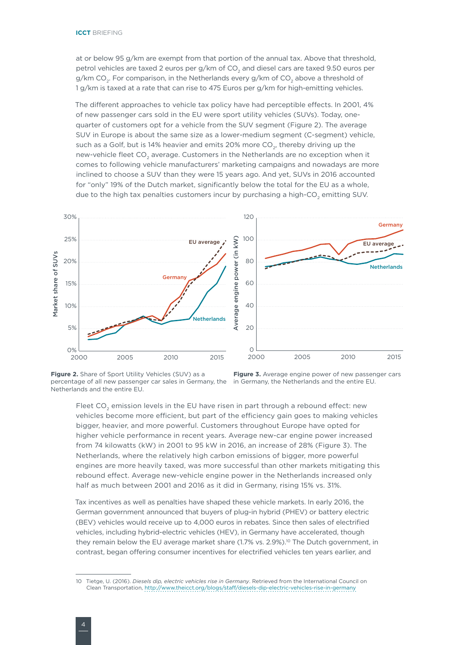at or below 95 g/km are exempt from that portion of the annual tax. Above that threshold, petrol vehicles are taxed 2 euros per g/km of CO<sub>2</sub> and diesel cars are taxed 9.50 euros per g/km CO<sub>2</sub>. For comparison, in the Netherlands every g/km of CO<sub>2</sub> above a threshold of 1 g/km is taxed at a rate that can rise to 475 Euros per g/km for high-emitting vehicles.

The different approaches to vehicle tax policy have had perceptible effects. In 2001, 4% of new passenger cars sold in the EU were sport utility vehicles (SUVs). Today, onequarter of customers opt for a vehicle from the SUV segment (Figure 2). The average SUV in Europe is about the same size as a lower-medium segment (C-segment) vehicle, such as a Golf, but is 14% heavier and emits 20% more  $CO<sub>2</sub>$ , thereby driving up the new-vehicle fleet CO<sub>2</sub> average. Customers in the Netherlands are no exception when it comes to following vehicle manufacturers' marketing campaigns and nowadays are more inclined to choose a SUV than they were 15 years ago. And yet, SUVs in 2016 accounted for "only" 19% of the Dutch market, significantly below the total for the EU as a whole, due to the high tax penalties customers incur by purchasing a high-CO<sub>2</sub> emitting SUV.



**Figure 2.** Share of Sport Utility Vehicles (SUV) as a percentage of all new passenger car sales in Germany, the Netherlands and the entire EU.

**Figure 3.** Average engine power of new passenger cars in Germany, the Netherlands and the entire EU.

Fleet CO<sub>2</sub> emission levels in the EU have risen in part through a rebound effect: new vehicles become more efficient, but part of the efficiency gain goes to making vehicles bigger, heavier, and more powerful. Customers throughout Europe have opted for higher vehicle performance in recent years. Average new-car engine power increased from 74 kilowatts (kW) in 2001 to 95 kW in 2016, an increase of 28% (Figure 3). The Netherlands, where the relatively high carbon emissions of bigger, more powerful engines are more heavily taxed, was more successful than other markets mitigating this rebound effect. Average new-vehicle engine power in the Netherlands increased only half as much between 2001 and 2016 as it did in Germany, rising 15% vs. 31%.

Tax incentives as well as penalties have shaped these vehicle markets. In early 2016, the German government announced that buyers of plug-in hybrid (PHEV) or battery electric (BEV) vehicles would receive up to 4,000 euros in rebates. Since then sales of electrified vehicles, including hybrid-electric vehicles (HEV), in Germany have accelerated, though they remain below the EU average market share  $(1.7\% \text{ vs. } 2.9\%)$ .<sup>10</sup> The Dutch government, in contrast, began offering consumer incentives for electrified vehicles ten years earlier, and

<sup>10</sup> Tietge, U. (2016). *Diesels dip, electric vehicles rise in Germany*. Retrieved from the International Council on Clean Transportation, <http://www.theicct.org/blogs/staff/diesels-dip-electric-vehicles-rise-in-germany>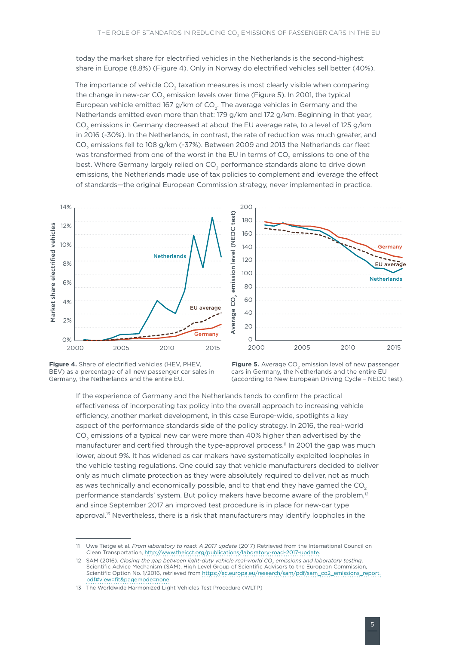today the market share for electrified vehicles in the Netherlands is the second-highest share in Europe (8.8%) (Figure 4). Only in Norway do electrified vehicles sell better (40%).

The importance of vehicle CO<sub>2</sub> taxation measures is most clearly visible when comparing the change in new-car  $CO<sub>2</sub>$  emission levels over time (Figure 5). In 2001, the typical European vehicle emitted 167 g/km of  $CO<sub>2</sub>$ . The average vehicles in Germany and the Netherlands emitted even more than that: 179 g/km and 172 g/km. Beginning in that year, CO<sub>2</sub> emissions in Germany decreased at about the EU average rate, to a level of 125 g/km in 2016 (-30%). In the Netherlands, in contrast, the rate of reduction was much greater, and CO<sub>2</sub> emissions fell to 108 g/km (-37%). Between 2009 and 2013 the Netherlands car fleet was transformed from one of the worst in the EU in terms of CO<sub>2</sub> emissions to one of the best. Where Germany largely relied on CO<sub>2</sub> performance standards alone to drive down emissions, the Netherlands made use of tax policies to complement and leverage the effect of standards—the original European Commission strategy, never implemented in practice.



**Figure 4.** Share of electrified vehicles (HEV, PHEV, BEV) as a percentage of all new passenger car sales in Germany, the Netherlands and the entire EU.



If the experience of Germany and the Netherlands tends to confirm the practical effectiveness of incorporating tax policy into the overall approach to increasing vehicle efficiency, another market development, in this case Europe-wide, spotlights a key aspect of the performance standards side of the policy strategy. In 2016, the real-world CO<sub>2</sub> emissions of a typical new car were more than 40% higher than advertised by the manufacturer and certified through the type-approval process.<sup>11</sup> In 2001 the gap was much lower, about 9%. It has widened as car makers have systematically exploited loopholes in the vehicle testing regulations. One could say that vehicle manufacturers decided to deliver only as much climate protection as they were absolutely required to deliver, not as much as was technically and economically possible, and to that end they have gamed the CO<sub>2</sub> performance standards' system. But policy makers have become aware of the problem,<sup>12</sup> and since September 2017 an improved test procedure is in place for new-car type approval.<sup>13</sup> Nevertheless, there is a risk that manufacturers may identify loopholes in the

<sup>11</sup> Uwe Tietge et al. *From laboratory to road: A 2017 update* (2017) Retrieved from the International Council on Clean Transportation, <http://www.theicct.org/publications/laboratory-road-2017-update>.

<sup>12</sup> SAM (2016). *Closing the gap between light-duty vehicle real-world CO<sub>2</sub> emissions and laboratory testing.* Scientific Advice Mechanism (SAM), High Level Group of Scientific Advisors to the European Commission, Scientific Option No. 1/2016, retrieved from [https://ec.europa.eu/research/sam/pdf/sam\\_co2\\_emissions\\_report.](https://ec.europa.eu/research/sam/pdf/sam_co2_emissions_report.pdf#view=fit&pagemode=none) [pdf#view=fit&pagemode=none](https://ec.europa.eu/research/sam/pdf/sam_co2_emissions_report.pdf#view=fit&pagemode=none)

<sup>13</sup> The Worldwide Harmonized Light Vehicles Test Procedure (WLTP)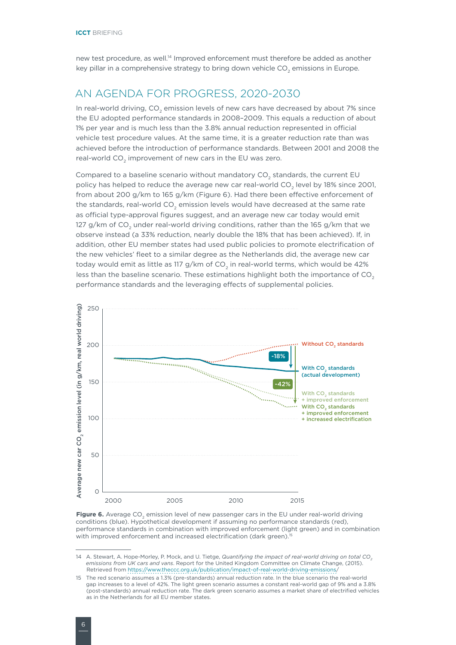new test procedure, as well.14 Improved enforcement must therefore be added as another key pillar in a comprehensive strategy to bring down vehicle  $CO<sub>2</sub>$  emissions in Europe.

#### AN AGENDA FOR PROGRESS, 2020-2030

In real-world driving,  $CO<sub>2</sub>$  emission levels of new cars have decreased by about 7% since the EU adopted performance standards in 2008–2009. This equals a reduction of about 1% per year and is much less than the 3.8% annual reduction represented in official vehicle test procedure values. At the same time, it is a greater reduction rate than was achieved before the introduction of performance standards. Between 2001 and 2008 the real-world CO<sub>2</sub> improvement of new cars in the EU was zero.

Compared to a baseline scenario without mandatory  $CO<sub>2</sub>$  standards, the current EU policy has helped to reduce the average new car real-world CO<sub>2</sub> level by 18% since 2001, from about 200 g/km to 165 g/km (Figure 6). Had there been effective enforcement of the standards, real-world  $CO<sub>2</sub>$  emission levels would have decreased at the same rate as official type-approval figures suggest, and an average new car today would emit 127 g/km of CO<sub>2</sub> under real-world driving conditions, rather than the 165 g/km that we observe instead (a 33% reduction, nearly double the 18% that has been achieved). If, in addition, other EU member states had used public policies to promote electrification of the new vehicles' fleet to a similar degree as the Netherlands did, the average new car today would emit as little as 117 g/km of  $CO<sub>2</sub>$  in real-world terms, which would be 42% less than the baseline scenario. These estimations highlight both the importance of  $CO<sub>2</sub>$ performance standards and the leveraging effects of supplemental policies.



Figure 6. Average CO<sub>2</sub> emission level of new passenger cars in the EU under real-world driving conditions (blue). Hypothetical development if assuming no performance standards (red), performance standards in combination with improved enforcement (light green) and in combination with improved enforcement and increased electrification (dark green).<sup>15</sup>

<sup>14</sup> A. Stewart, A. Hope-Morley, P. Mock, and U. Tietge, *Quantifying the impact of real-world driving on total CO<sub>2</sub> emissions from UK cars and vans*. Report for the United Kingdom Committee on Climate Change, (2015). Retrieved from <https://www.theccc.org.uk/publication/impact-of-real-world-driving-emissions>/

<sup>15</sup> The red scenario assumes a 1.3% (pre-standards) annual reduction rate. In the blue scenario the real-world gap increases to a level of 42%. The light green scenario assumes a constant real-world gap of 9% and a 3.8% (post-standards) annual reduction rate. The dark green scenario assumes a market share of electrified vehicles as in the Netherlands for all EU member states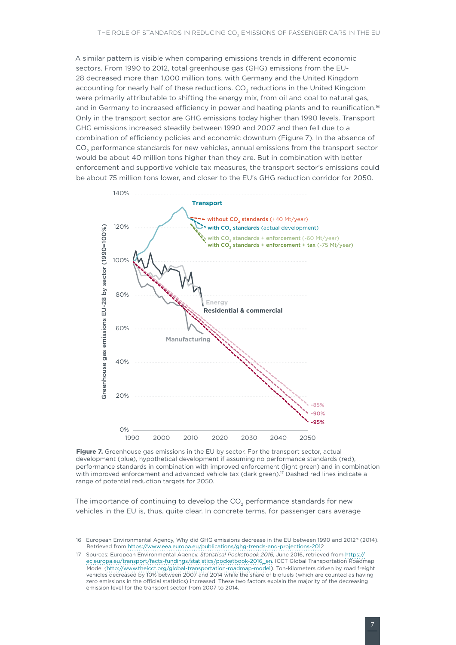A similar pattern is visible when comparing emissions trends in different economic sectors. From 1990 to 2012, total greenhouse gas (GHG) emissions from the EU-28 decreased more than 1,000 million tons, with Germany and the United Kingdom accounting for nearly half of these reductions. CO<sub>2</sub> reductions in the United Kingdom were primarily attributable to shifting the energy mix, from oil and coal to natural gas, and in Germany to increased efficiency in power and heating plants and to reunification.<sup>16</sup> Only in the transport sector are GHG emissions today higher than 1990 levels. Transport GHG emissions increased steadily between 1990 and 2007 and then fell due to a combination of efficiency policies and economic downturn (Figure 7). In the absence of CO<sub>2</sub> performance standards for new vehicles, annual emissions from the transport sector would be about 40 million tons higher than they are. But in combination with better enforcement and supportive vehicle tax measures, the transport sector's emissions could be about 75 million tons lower, and closer to the EU's GHG reduction corridor for 2050.



**Figure 7.** Greenhouse gas emissions in the EU by sector. For the transport sector, actual development (blue), hypothetical development if assuming no performance standards (red), performance standards in combination with improved enforcement (light green) and in combination with improved enforcement and advanced vehicle tax (dark green).<sup>17</sup> Dashed red lines indicate a range of potential reduction targets for 2050.

The importance of continuing to develop the CO<sub>2</sub> performance standards for new vehicles in the EU is, thus, quite clear. In concrete terms, for passenger cars average

<sup>16</sup> European Environmental Agency, Why did GHG emissions decrease in the EU between 1990 and 2012? (2014). Retrieved from [https://www.eea.europa.eu/publications/ghg-trends-and-projections-2012](https://www.eea.europa.eu/publications/ghg-trends-and-projections-201)

<sup>17</sup> Sources: European Environmental Agency, *Statistical Pocketbook 2016*, June 2016, retrieved from [https://](https://ec.europa.eu/transport/facts-fundings/statistics/pocketbook-2016_en) [ec.europa.eu/transport/facts-fundings/statistics/pocketbook-2016\\_en](https://ec.europa.eu/transport/facts-fundings/statistics/pocketbook-2016_en). ICCT Global Transportation Roadmap Model [\(http://www.theicct.org/global-transportation-roadmap-model\).](http://www.theicct.org/global-transportation-roadmap-model)) Ton-kilometers driven by road freight vehicles decreased by 10% between 2007 and 2014 while the share of biofuels (which are counted as having zero emissions in the official statistics) increased. These two factors explain the majority of the decreasing emission level for the transport sector from 2007 to 2014.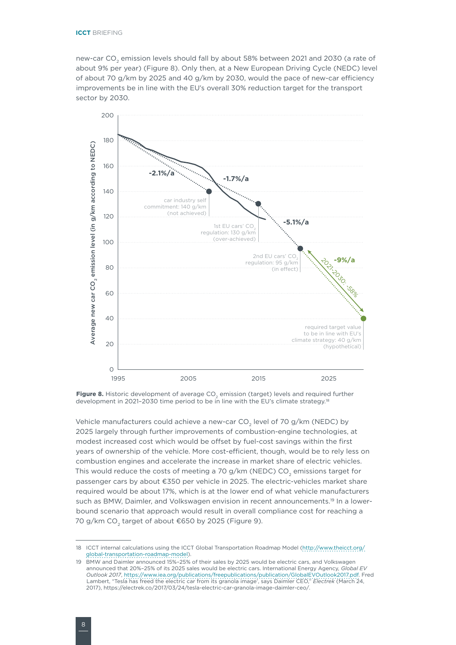new-car CO<sub>2</sub> emission levels should fall by about 58% between 2021 and 2030 (a rate of about 9% per year) (Figure 8). Only then, at a New European Driving Cycle (NEDC) level of about 70 g/km by 2025 and 40 g/km by 2030, would the pace of new-car efficiency improvements be in line with the EU's overall 30% reduction target for the transport sector by 2030.



Figure 8. Historic development of average CO<sub>2</sub> emission (target) levels and required further development in 2021-2030 time period to be in line with the EU's climate strategy.<sup>18</sup>

Vehicle manufacturers could achieve a new-car  $CO<sub>2</sub>$  level of 70 g/km (NEDC) by 2025 largely through further improvements of combustion-engine technologies, at modest increased cost which would be offset by fuel-cost savings within the first years of ownership of the vehicle. More cost-efficient, though, would be to rely less on combustion engines and accelerate the increase in market share of electric vehicles. This would reduce the costs of meeting a 70 g/km (NEDC)  $CO<sub>2</sub>$  emissions target for passenger cars by about €350 per vehicle in 2025. The electric-vehicles market share required would be about 17%, which is at the lower end of what vehicle manufacturers such as BMW. Daimler, and Volkswagen envision in recent announcements.<sup>19</sup> In a lowerbound scenario that approach would result in overall compliance cost for reaching a 70 g/km CO<sub>2</sub> target of about €650 by 2025 (Figure 9).

<sup>18</sup> ICCT internal calculations using the ICCT Global Transportation Roadmap Model ([http://www.theicct.org/](http://www.theicct.org/global-transportation-roadmap-model) [global-transportation-roadmap-model](http://www.theicct.org/global-transportation-roadmap-model)).

<sup>19</sup> BMW and Daimler announced 15%–25% of their sales by 2025 would be electric cars, and Volkswagen announced that 20%–25% of its 2025 sales would be electric cars. International Energy Agency, *Global EV Outlook 2017*, <https://www.iea.org/publications/freepublications/publication/GlobalEVOutlook2017.pdf>. Fred Lambert, "Tesla has freed the electric car from its granola image', says Daimler CEO," *Electrek* (March 24, 2017), https://electrek.co/2017/03/24/tesla-electric-car-granola-image-daimler-ceo/.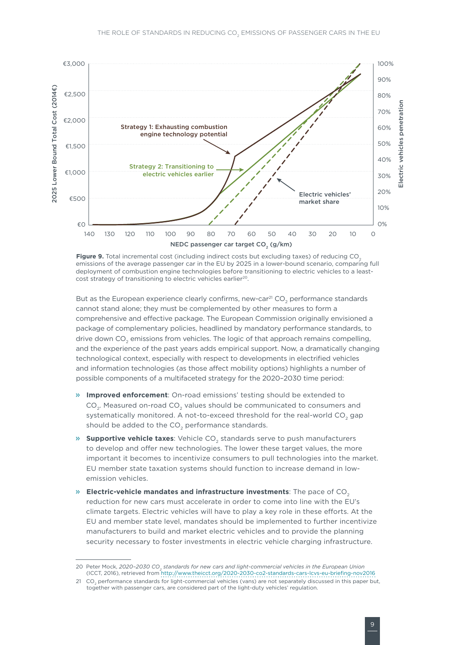

**Figure 9.** Total incremental cost (including indirect costs but excluding taxes) of reducing CO<sub>2</sub> emissions of the average passenger car in the EU by 2025 in a lower-bound scenario, comparing full deployment of combustion engine technologies before transitioning to electric vehicles to a leastcost strategy of transitioning to electric vehicles earlier<sup>20</sup>.

But as the European experience clearly confirms, new-car<sup>21</sup> CO<sub>2</sub> performance standards cannot stand alone; they must be complemented by other measures to form a comprehensive and effective package. The European Commission originally envisioned a package of complementary policies, headlined by mandatory performance standards, to drive down CO<sub>2</sub> emissions from vehicles. The logic of that approach remains compelling, and the experience of the past years adds empirical support. Now, a dramatically changing technological context, especially with respect to developments in electrified vehicles and information technologies (as those affect mobility options) highlights a number of possible components of a multifaceted strategy for the 2020–2030 time period:

- » **Improved enforcement**: On-road emissions' testing should be extended to CO<sub>2</sub>. Measured on-road CO<sub>2</sub> values should be communicated to consumers and systematically monitored. A not-to-exceed threshold for the real-world  $CO<sub>2</sub>$  gap should be added to the CO<sub>2</sub> performance standards.
- » **Supportive vehicle taxes**: Vehicle CO<sub>2</sub> standards serve to push manufacturers to develop and offer new technologies. The lower these target values, the more important it becomes to incentivize consumers to pull technologies into the market. EU member state taxation systems should function to increase demand in lowemission vehicles.
- $\mathcal{P}$  **Electric-vehicle mandates and infrastructure investments**: The pace of CO<sub>2</sub> reduction for new cars must accelerate in order to come into line with the EU's climate targets. Electric vehicles will have to play a key role in these efforts. At the EU and member state level, mandates should be implemented to further incentivize manufacturers to build and market electric vehicles and to provide the planning security necessary to foster investments in electric vehicle charging infrastructure.

<sup>20</sup> Peter Mock, 2020-2030 CO<sub>2</sub> standards for new cars and light-commercial vehicles in the European Union (ICCT, 2016), retrieved from<http://www.theicct.org/2020-2030-co2-standards-cars-lcvs-eu-briefing-nov2016>

<sup>21</sup> CO<sub>2</sub> performance standards for light-commercial vehicles (vans) are not separately discussed in this paper but, together with passenger cars, are considered part of the light-duty vehicles' regulation.